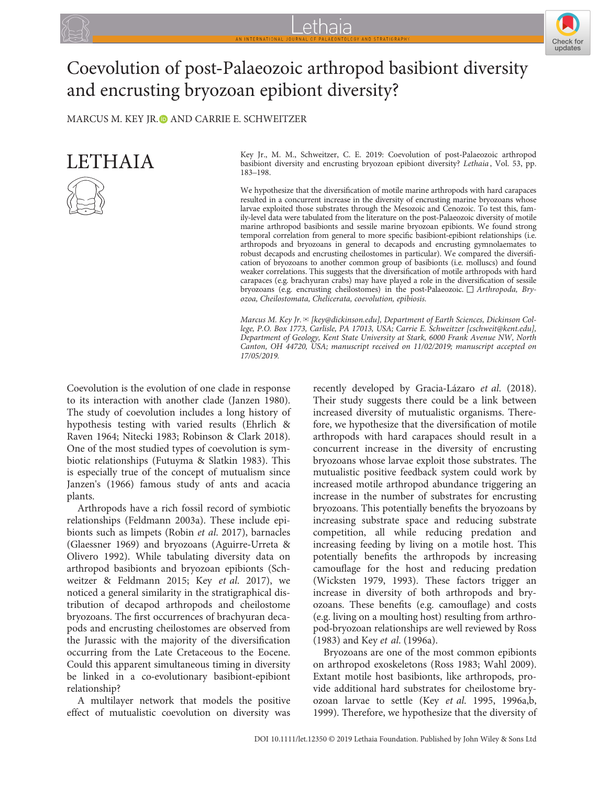



# Coevolution of post‐Palaeozoic arthropod basibiont diversity and encrusting bryozoan epibiont diversity?

MARCUS M. KEY IR. AND CARRIE E. SCHWEITZER



Key Jr., M. M., Schweitzer, C. E. 2019: Coevolution of post‐Palaeozoic arthropod basibiont diversity and encrusting bryozoan epibiont diversity? Lethaia [, Vol. 53, pp.](https://doi.org/10.1111/let.12350) 183–[198.](https://doi.org/10.1111/let.12350)

We hypothesize that the diversification of motile marine arthropods with hard carapaces resulted in a concurrent increase in the diversity of encrusting marine bryozoans whose larvae exploited those substrates through the Mesozoic and Cenozoic. To test this, family‐level data were tabulated from the literature on the post‐Palaeozoic diversity of motile marine arthropod basibionts and sessile marine bryozoan epibionts. We found strong temporal correlation from general to more specific basibiont-epibiont relationships (i.e. arthropods and bryozoans in general to decapods and encrusting gymnolaemates to robust decapods and encrusting cheilostomes in particular). We compared the diversification of bryozoans to another common group of basibionts (i.e. molluscs) and found weaker correlations. This suggests that the diversification of motile arthropods with hard carapaces (e.g. brachyuran crabs) may have played a role in the diversification of sessile bryozoans (e.g. encrusting cheilostomes) in the post‐Palaeozoic. □ Arthropoda, Bryozoa, Cheilostomata, Chelicerata, coevolution, epibiosis.

Marcus M. Key Jr.  $\mathbb{E}$  [key@dickinson.edu], Department of Earth Sciences, Dickinson College, P.O. Box 1773, Carlisle, PA 17013, USA; Carrie E. Schweitzer [cschweit@kent.edu], Department of Geology, Kent State University at Stark, 6000 Frank Avenue NW, North Canton, OH 44720, USA; manuscript received on 11/02/2019; manuscript accepted on 17/05/2019.

Coevolution is the evolution of one clade in response to its interaction with another clade (Janzen 1980). The study of coevolution includes a long history of hypothesis testing with varied results (Ehrlich & Raven 1964; Nitecki 1983; Robinson & Clark 2018). One of the most studied types of coevolution is symbiotic relationships (Futuyma & Slatkin 1983). This is especially true of the concept of mutualism since Janzen's (1966) famous study of ants and acacia plants.

Arthropods have a rich fossil record of symbiotic relationships (Feldmann 2003a). These include epibionts such as limpets (Robin et al. 2017), barnacles (Glaessner 1969) and bryozoans (Aguirre‐Urreta & Olivero 1992). While tabulating diversity data on arthropod basibionts and bryozoan epibionts (Schweitzer & Feldmann 2015; Key et al. 2017), we noticed a general similarity in the stratigraphical distribution of decapod arthropods and cheilostome bryozoans. The first occurrences of brachyuran decapods and encrusting cheilostomes are observed from the Jurassic with the majority of the diversification occurring from the Late Cretaceous to the Eocene. Could this apparent simultaneous timing in diversity be linked in a co-evolutionary basibiont-epibiont relationship?

A multilayer network that models the positive effect of mutualistic coevolution on diversity was recently developed by Gracia‐Lázaro et al. (2018). Their study suggests there could be a link between increased diversity of mutualistic organisms. Therefore, we hypothesize that the diversification of motile arthropods with hard carapaces should result in a concurrent increase in the diversity of encrusting bryozoans whose larvae exploit those substrates. The mutualistic positive feedback system could work by increased motile arthropod abundance triggering an increase in the number of substrates for encrusting bryozoans. This potentially benefits the bryozoans by increasing substrate space and reducing substrate competition, all while reducing predation and increasing feeding by living on a motile host. This potentially benefits the arthropods by increasing camouflage for the host and reducing predation (Wicksten 1979, 1993). These factors trigger an increase in diversity of both arthropods and bryozoans. These benefits (e.g. camouflage) and costs (e.g. living on a moulting host) resulting from arthropod‐bryozoan relationships are well reviewed by Ross (1983) and Key et al. (1996a).

Bryozoans are one of the most common epibionts on arthropod exoskeletons (Ross 1983; Wahl 2009). Extant motile host basibionts, like arthropods, provide additional hard substrates for cheilostome bryozoan larvae to settle (Key et al. 1995, 1996a,b, 1999). Therefore, we hypothesize that the diversity of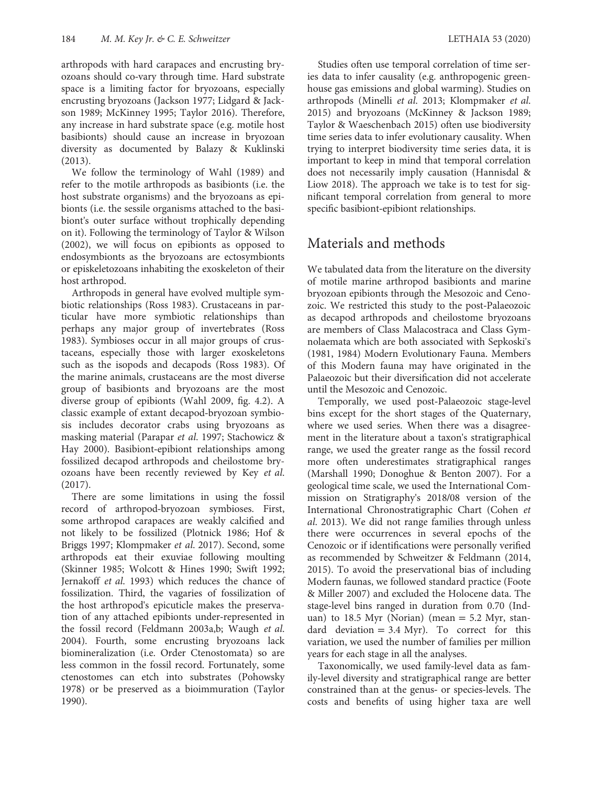arthropods with hard carapaces and encrusting bryozoans should co‐vary through time. Hard substrate space is a limiting factor for bryozoans, especially encrusting bryozoans (Jackson 1977; Lidgard & Jackson 1989; McKinney 1995; Taylor 2016). Therefore, any increase in hard substrate space (e.g. motile host basibionts) should cause an increase in bryozoan diversity as documented by Balazy & Kuklinski (2013).

We follow the terminology of Wahl (1989) and refer to the motile arthropods as basibionts (i.e. the host substrate organisms) and the bryozoans as epibionts (i.e. the sessile organisms attached to the basibiont's outer surface without trophically depending on it). Following the terminology of Taylor & Wilson (2002), we will focus on epibionts as opposed to endosymbionts as the bryozoans are ectosymbionts or episkeletozoans inhabiting the exoskeleton of their host arthropod.

Arthropods in general have evolved multiple symbiotic relationships (Ross 1983). Crustaceans in particular have more symbiotic relationships than perhaps any major group of invertebrates (Ross 1983). Symbioses occur in all major groups of crustaceans, especially those with larger exoskeletons such as the isopods and decapods (Ross 1983). Of the marine animals, crustaceans are the most diverse group of basibionts and bryozoans are the most diverse group of epibionts (Wahl 2009, fig. 4.2). A classic example of extant decapod‐bryozoan symbiosis includes decorator crabs using bryozoans as masking material (Parapar et al. 1997; Stachowicz & Hay 2000). Basibiont-epibiont relationships among fossilized decapod arthropods and cheilostome bryozoans have been recently reviewed by Key et al. (2017).

There are some limitations in using the fossil record of arthropod‐bryozoan symbioses. First, some arthropod carapaces are weakly calcified and not likely to be fossilized (Plotnick 1986; Hof & Briggs 1997; Klompmaker et al. 2017). Second, some arthropods eat their exuviae following moulting (Skinner 1985; Wolcott & Hines 1990; Swift 1992; Jernakoff et al. 1993) which reduces the chance of fossilization. Third, the vagaries of fossilization of the host arthropod's epicuticle makes the preservation of any attached epibionts under‐represented in the fossil record (Feldmann 2003a,b; Waugh et al. 2004). Fourth, some encrusting bryozoans lack biomineralization (i.e. Order Ctenostomata) so are less common in the fossil record. Fortunately, some ctenostomes can etch into substrates (Pohowsky 1978) or be preserved as a bioimmuration (Taylor 1990).

Studies often use temporal correlation of time series data to infer causality (e.g. anthropogenic greenhouse gas emissions and global warming). Studies on arthropods (Minelli et al. 2013; Klompmaker et al. 2015) and bryozoans (McKinney & Jackson 1989; Taylor & Waeschenbach 2015) often use biodiversity time series data to infer evolutionary causality. When trying to interpret biodiversity time series data, it is important to keep in mind that temporal correlation does not necessarily imply causation (Hannisdal & Liow 2018). The approach we take is to test for significant temporal correlation from general to more specific basibiont-epibiont relationships.

## Materials and methods

We tabulated data from the literature on the diversity of motile marine arthropod basibionts and marine bryozoan epibionts through the Mesozoic and Cenozoic. We restricted this study to the post‐Palaeozoic as decapod arthropods and cheilostome bryozoans are members of Class Malacostraca and Class Gymnolaemata which are both associated with Sepkoski's (1981, 1984) Modern Evolutionary Fauna. Members of this Modern fauna may have originated in the Palaeozoic but their diversification did not accelerate until the Mesozoic and Cenozoic.

Temporally, we used post‐Palaeozoic stage‐level bins except for the short stages of the Quaternary, where we used series. When there was a disagreement in the literature about a taxon's stratigraphical range, we used the greater range as the fossil record more often underestimates stratigraphical ranges (Marshall 1990; Donoghue & Benton 2007). For a geological time scale, we used the International Commission on Stratigraphy's 2018/08 version of the International Chronostratigraphic Chart (Cohen et al. 2013). We did not range families through unless there were occurrences in several epochs of the Cenozoic or if identifications were personally verified as recommended by Schweitzer & Feldmann (2014, 2015). To avoid the preservational bias of including Modern faunas, we followed standard practice (Foote & Miller 2007) and excluded the Holocene data. The stage‐level bins ranged in duration from 0.70 (Induan) to 18.5 Myr (Norian) (mean  $=$  5.2 Myr, standard deviation  $= 3.4$  Myr). To correct for this variation, we used the number of families per million years for each stage in all the analyses.

Taxonomically, we used family‐level data as family‐level diversity and stratigraphical range are better constrained than at the genus‐ or species‐levels. The costs and benefits of using higher taxa are well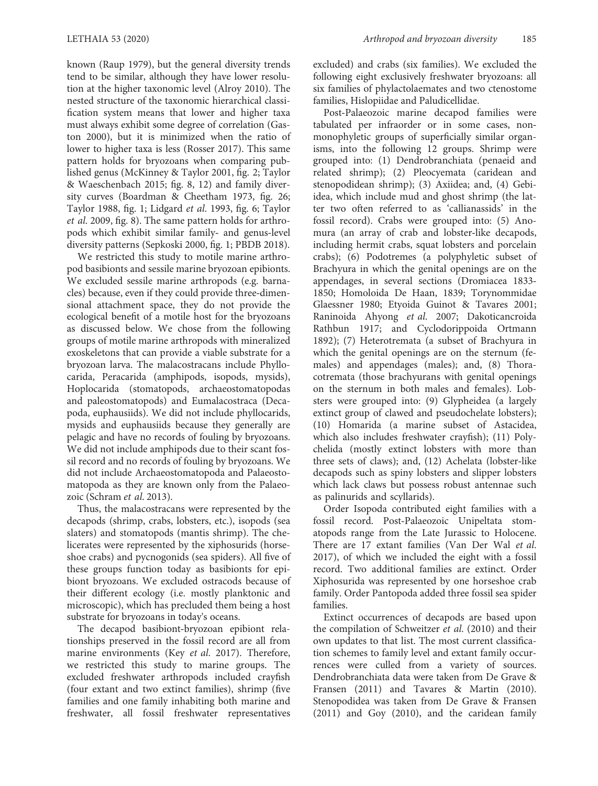known (Raup 1979), but the general diversity trends tend to be similar, although they have lower resolution at the higher taxonomic level (Alroy 2010). The nested structure of the taxonomic hierarchical classification system means that lower and higher taxa must always exhibit some degree of correlation (Gaston 2000), but it is minimized when the ratio of lower to higher taxa is less (Rosser 2017). This same pattern holds for bryozoans when comparing published genus (McKinney & Taylor 2001, fig. 2; Taylor & Waeschenbach 2015; fig. 8, 12) and family diversity curves (Boardman & Cheetham 1973, fig. 26; Taylor 1988, fig. 1; Lidgard et al. 1993, fig. 6; Taylor et al. 2009, fig. 8). The same pattern holds for arthropods which exhibit similar family‐ and genus‐level diversity patterns (Sepkoski 2000, fig. 1; PBDB 2018).

We restricted this study to motile marine arthropod basibionts and sessile marine bryozoan epibionts. We excluded sessile marine arthropods (e.g. barnacles) because, even if they could provide three‐dimensional attachment space, they do not provide the ecological benefit of a motile host for the bryozoans as discussed below. We chose from the following groups of motile marine arthropods with mineralized exoskeletons that can provide a viable substrate for a bryozoan larva. The malacostracans include Phyllocarida, Peracarida (amphipods, isopods, mysids), Hoplocarida (stomatopods, archaeostomatopodas and paleostomatopods) and Eumalacostraca (Decapoda, euphausiids). We did not include phyllocarids, mysids and euphausiids because they generally are pelagic and have no records of fouling by bryozoans. We did not include amphipods due to their scant fossil record and no records of fouling by bryozoans. We did not include Archaeostomatopoda and Palaeostomatopoda as they are known only from the Palaeozoic (Schram et al. 2013).

Thus, the malacostracans were represented by the decapods (shrimp, crabs, lobsters, etc.), isopods (sea slaters) and stomatopods (mantis shrimp). The chelicerates were represented by the xiphosurids (horseshoe crabs) and pycnogonids (sea spiders). All five of these groups function today as basibionts for epibiont bryozoans. We excluded ostracods because of their different ecology (i.e. mostly planktonic and microscopic), which has precluded them being a host substrate for bryozoans in today's oceans.

The decapod basibiont‐bryozoan epibiont relationships preserved in the fossil record are all from marine environments (Key et al. 2017). Therefore, we restricted this study to marine groups. The excluded freshwater arthropods included crayfish (four extant and two extinct families), shrimp (five families and one family inhabiting both marine and freshwater, all fossil freshwater representatives excluded) and crabs (six families). We excluded the following eight exclusively freshwater bryozoans: all six families of phylactolaemates and two ctenostome families, Hislopiidae and Paludicellidae.

Post‐Palaeozoic marine decapod families were tabulated per infraorder or in some cases, nonmonophyletic groups of superficially similar organisms, into the following 12 groups. Shrimp were grouped into: (1) Dendrobranchiata (penaeid and related shrimp); (2) Pleocyemata (caridean and stenopodidean shrimp); (3) Axiidea; and, (4) Gebiidea, which include mud and ghost shrimp (the latter two often referred to as 'callianassids' in the fossil record). Crabs were grouped into: (5) Anomura (an array of crab and lobster-like decapods, including hermit crabs, squat lobsters and porcelain crabs); (6) Podotremes (a polyphyletic subset of Brachyura in which the genital openings are on the appendages, in several sections (Dromiacea 1833‐ 1850; Homoloida De Haan, 1839; Torynommidae Glaessner 1980; Etyoida Guinot & Tavares 2001; Raninoida Ahyong et al. 2007; Dakoticancroida Rathbun 1917; and Cyclodorippoida Ortmann 1892); (7) Heterotremata (a subset of Brachyura in which the genital openings are on the sternum (females) and appendages (males); and, (8) Thoracotremata (those brachyurans with genital openings on the sternum in both males and females). Lobsters were grouped into: (9) Glypheidea (a largely extinct group of clawed and pseudochelate lobsters); (10) Homarida (a marine subset of Astacidea, which also includes freshwater crayfish); (11) Polychelida (mostly extinct lobsters with more than three sets of claws); and, (12) Achelata (lobster‐like decapods such as spiny lobsters and slipper lobsters which lack claws but possess robust antennae such as palinurids and scyllarids).

Order Isopoda contributed eight families with a fossil record. Post‐Palaeozoic Unipeltata stomatopods range from the Late Jurassic to Holocene. There are 17 extant families (Van Der Wal et al. 2017), of which we included the eight with a fossil record. Two additional families are extinct. Order Xiphosurida was represented by one horseshoe crab family. Order Pantopoda added three fossil sea spider families.

Extinct occurrences of decapods are based upon the compilation of Schweitzer et al. (2010) and their own updates to that list. The most current classification schemes to family level and extant family occurrences were culled from a variety of sources. Dendrobranchiata data were taken from De Grave & Fransen (2011) and Tavares & Martin (2010). Stenopodidea was taken from De Grave & Fransen (2011) and Goy (2010), and the caridean family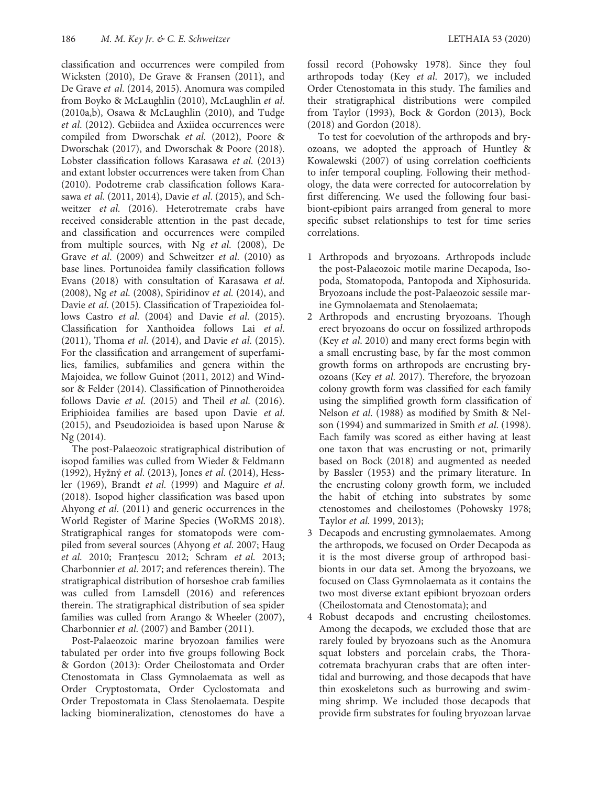classification and occurrences were compiled from Wicksten (2010), De Grave & Fransen (2011), and De Grave et al. (2014, 2015). Anomura was compiled from Boyko & McLaughlin (2010), McLaughlin et al. (2010a,b), Osawa & McLaughlin (2010), and Tudge et al. (2012). Gebiidea and Axiidea occurrences were compiled from Dworschak et al. (2012), Poore & Dworschak (2017), and Dworschak & Poore (2018). Lobster classification follows Karasawa et al. (2013) and extant lobster occurrences were taken from Chan (2010). Podotreme crab classification follows Karasawa et al. (2011, 2014), Davie et al. (2015), and Schweitzer et al. (2016). Heterotremate crabs have received considerable attention in the past decade, and classification and occurrences were compiled from multiple sources, with Ng et al. (2008), De Grave et al. (2009) and Schweitzer et al. (2010) as base lines. Portunoidea family classification follows Evans (2018) with consultation of Karasawa et al. (2008), Ng et al. (2008), Spiridinov et al. (2014), and Davie et al. (2015). Classification of Trapezioidea follows Castro et al. (2004) and Davie et al. (2015). Classification for Xanthoidea follows Lai et al. (2011), Thoma et al. (2014), and Davie et al. (2015). For the classification and arrangement of superfamilies, families, subfamilies and genera within the Majoidea, we follow Guinot (2011, 2012) and Windsor & Felder (2014). Classification of Pinnotheroidea follows Davie et al. (2015) and Theil et al. (2016). Eriphioidea families are based upon Davie et al. (2015), and Pseudozioidea is based upon Naruse & Ng (2014).

The post‐Palaeozoic stratigraphical distribution of isopod families was culled from Wieder & Feldmann (1992), Hyžný et al. (2013), Jones et al. (2014), Hessler (1969), Brandt et al. (1999) and Maguire et al. (2018). Isopod higher classification was based upon Ahyong et al. (2011) and generic occurrences in the World Register of Marine Species (WoRMS 2018). Stratigraphical ranges for stomatopods were compiled from several sources (Ahyong et al. 2007; Haug et al. 2010; Franţescu 2012; Schram et al. 2013; Charbonnier et al. 2017; and references therein). The stratigraphical distribution of horseshoe crab families was culled from Lamsdell (2016) and references therein. The stratigraphical distribution of sea spider families was culled from Arango & Wheeler (2007), Charbonnier et al. (2007) and Bamber (2011).

Post‐Palaeozoic marine bryozoan families were tabulated per order into five groups following Bock & Gordon (2013): Order Cheilostomata and Order Ctenostomata in Class Gymnolaemata as well as Order Cryptostomata, Order Cyclostomata and Order Trepostomata in Class Stenolaemata. Despite lacking biomineralization, ctenostomes do have a

fossil record (Pohowsky 1978). Since they foul arthropods today (Key et al. 2017), we included Order Ctenostomata in this study. The families and their stratigraphical distributions were compiled from Taylor (1993), Bock & Gordon (2013), Bock (2018) and Gordon (2018).

To test for coevolution of the arthropods and bryozoans, we adopted the approach of Huntley & Kowalewski (2007) of using correlation coefficients to infer temporal coupling. Following their methodology, the data were corrected for autocorrelation by first differencing. We used the following four basibiont-epibiont pairs arranged from general to more specific subset relationships to test for time series correlations.

- 1 Arthropods and bryozoans. Arthropods include the post‐Palaeozoic motile marine Decapoda, Isopoda, Stomatopoda, Pantopoda and Xiphosurida. Bryozoans include the post‐Palaeozoic sessile marine Gymnolaemata and Stenolaemata;
- 2 Arthropods and encrusting bryozoans. Though erect bryozoans do occur on fossilized arthropods (Key et al. 2010) and many erect forms begin with a small encrusting base, by far the most common growth forms on arthropods are encrusting bryozoans (Key et al. 2017). Therefore, the bryozoan colony growth form was classified for each family using the simplified growth form classification of Nelson et al. (1988) as modified by Smith & Nelson (1994) and summarized in Smith et al. (1998). Each family was scored as either having at least one taxon that was encrusting or not, primarily based on Bock (2018) and augmented as needed by Bassler (1953) and the primary literature. In the encrusting colony growth form, we included the habit of etching into substrates by some ctenostomes and cheilostomes (Pohowsky 1978; Taylor et al. 1999, 2013);
- 3 Decapods and encrusting gymnolaemates. Among the arthropods, we focused on Order Decapoda as it is the most diverse group of arthropod basibionts in our data set. Among the bryozoans, we focused on Class Gymnolaemata as it contains the two most diverse extant epibiont bryozoan orders (Cheilostomata and Ctenostomata); and
- 4 Robust decapods and encrusting cheilostomes. Among the decapods, we excluded those that are rarely fouled by bryozoans such as the Anomura squat lobsters and porcelain crabs, the Thoracotremata brachyuran crabs that are often intertidal and burrowing, and those decapods that have thin exoskeletons such as burrowing and swimming shrimp. We included those decapods that provide firm substrates for fouling bryozoan larvae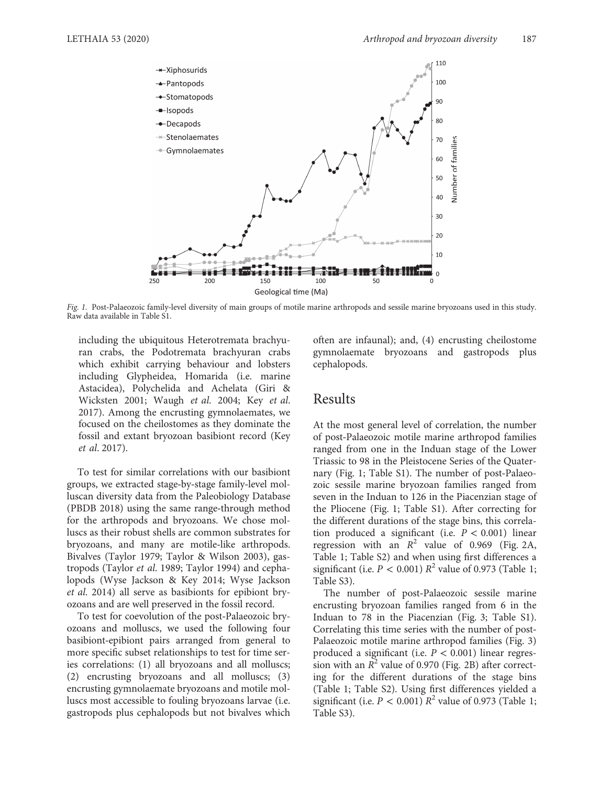

Fig. 1. Post-Palaeozoic family-level diversity of main groups of motile marine arthropods and sessile marine bryozoans used in this study. Raw data available in Table S1.

including the ubiquitous Heterotremata brachyuran crabs, the Podotremata brachyuran crabs which exhibit carrying behaviour and lobsters including Glypheidea, Homarida (i.e. marine Astacidea), Polychelida and Achelata (Giri & Wicksten 2001; Waugh et al. 2004; Key et al. 2017). Among the encrusting gymnolaemates, we focused on the cheilostomes as they dominate the fossil and extant bryozoan basibiont record (Key et al. 2017).

To test for similar correlations with our basibiont groups, we extracted stage‐by‐stage family‐level molluscan diversity data from the Paleobiology Database (PBDB 2018) using the same range‐through method for the arthropods and bryozoans. We chose molluscs as their robust shells are common substrates for bryozoans, and many are motile‐like arthropods. Bivalves (Taylor 1979; Taylor & Wilson 2003), gastropods (Taylor et al. 1989; Taylor 1994) and cephalopods (Wyse Jackson & Key 2014; Wyse Jackson et al. 2014) all serve as basibionts for epibiont bryozoans and are well preserved in the fossil record.

To test for coevolution of the post‐Palaeozoic bryozoans and molluscs, we used the following four basibiont‐epibiont pairs arranged from general to more specific subset relationships to test for time series correlations: (1) all bryozoans and all molluscs; (2) encrusting bryozoans and all molluscs; (3) encrusting gymnolaemate bryozoans and motile molluscs most accessible to fouling bryozoans larvae (i.e. gastropods plus cephalopods but not bivalves which often are infaunal); and, (4) encrusting cheilostome gymnolaemate bryozoans and gastropods plus cephalopods.

### Results

At the most general level of correlation, the number of post‐Palaeozoic motile marine arthropod families ranged from one in the Induan stage of the Lower Triassic to 98 in the Pleistocene Series of the Quaternary (Fig. 1; Table S1). The number of post-Palaeozoic sessile marine bryozoan families ranged from seven in the Induan to 126 in the Piacenzian stage of the Pliocene (Fig. 1; Table S1). After correcting for the different durations of the stage bins, this correlation produced a significant (i.e.  $P < 0.001$ ) linear regression with an  $R^2$  value of 0.969 (Fig. 2A, Table 1; Table S2) and when using first differences a significant (i.e.  $P < 0.001$ )  $R^2$  value of 0.973 (Table 1; Table S3).

The number of post-Palaeozoic sessile marine encrusting bryozoan families ranged from 6 in the Induan to 78 in the Piacenzian (Fig. 3; Table S1). Correlating this time series with the number of post‐ Palaeozoic motile marine arthropod families (Fig. 3) produced a significant (i.e.  $P < 0.001$ ) linear regression with an  $R^2$  value of 0.970 (Fig. 2B) after correcting for the different durations of the stage bins (Table 1; Table S2). Using first differences yielded a significant (i.e.  $P < 0.001$ )  $R^2$  value of 0.973 (Table 1; Table S3).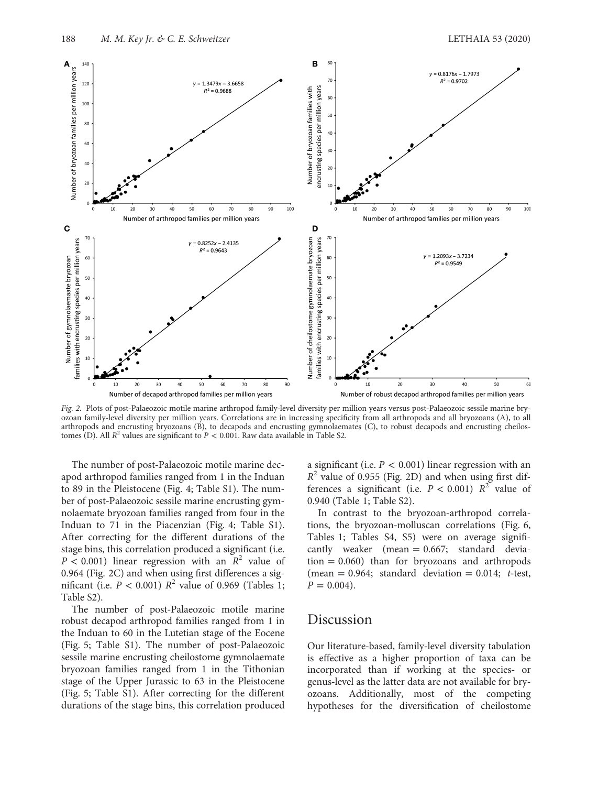

Fig. 2. Plots of post-Palaeozoic motile marine arthropod family-level diversity per million years versus post-Palaeozoic sessile marine bryozoan family‐level diversity per million years. Correlations are in increasing specificity from all arthropods and all bryozoans (A), to all arthropods and encrusting bryozoans (B), to decapods and encrusting gymnolaemates (C), to robust decapods and encrusting cheilostomes (D). All  $R^2$  values are significant to  $P < 0.001$ . Raw data available in Table S2.

The number of post-Palaeozoic motile marine decapod arthropod families ranged from 1 in the Induan to 89 in the Pleistocene (Fig. 4; Table S1). The number of post‐Palaeozoic sessile marine encrusting gymnolaemate bryozoan families ranged from four in the Induan to 71 in the Piacenzian (Fig. 4; Table S1). After correcting for the different durations of the stage bins, this correlation produced a significant (i.e.  $P < 0.001$ ) linear regression with an  $R^2$  value of 0.964 (Fig. 2C) and when using first differences a significant (i.e.  $P < 0.001$ )  $R^2$  value of 0.969 (Tables 1; Table S2).

The number of post-Palaeozoic motile marine robust decapod arthropod families ranged from 1 in the Induan to 60 in the Lutetian stage of the Eocene (Fig. 5; Table S1). The number of post‐Palaeozoic sessile marine encrusting cheilostome gymnolaemate bryozoan families ranged from 1 in the Tithonian stage of the Upper Jurassic to 63 in the Pleistocene (Fig. 5; Table S1). After correcting for the different durations of the stage bins, this correlation produced

a significant (i.e.  $P < 0.001$ ) linear regression with an  $R^2$  value of 0.955 (Fig. 2D) and when using first differences a significant (i.e.  $P < 0.001$ )  $R^2$  value of 0.940 (Table 1; Table S2).

In contrast to the bryozoan‐arthropod correlations, the bryozoan‐molluscan correlations (Fig. 6, Tables 1; Tables S4, S5) were on average significantly weaker (mean = 0.667; standard devia- $\tau$  tion = 0.060) than for bryozoans and arthropods (mean =  $0.964$ ; standard deviation =  $0.014$ ; t-test,  $P = 0.004$ ).

### Discussion

Our literature‐based, family‐level diversity tabulation is effective as a higher proportion of taxa can be incorporated than if working at the species‐ or genus‐level as the latter data are not available for bryozoans. Additionally, most of the competing hypotheses for the diversification of cheilostome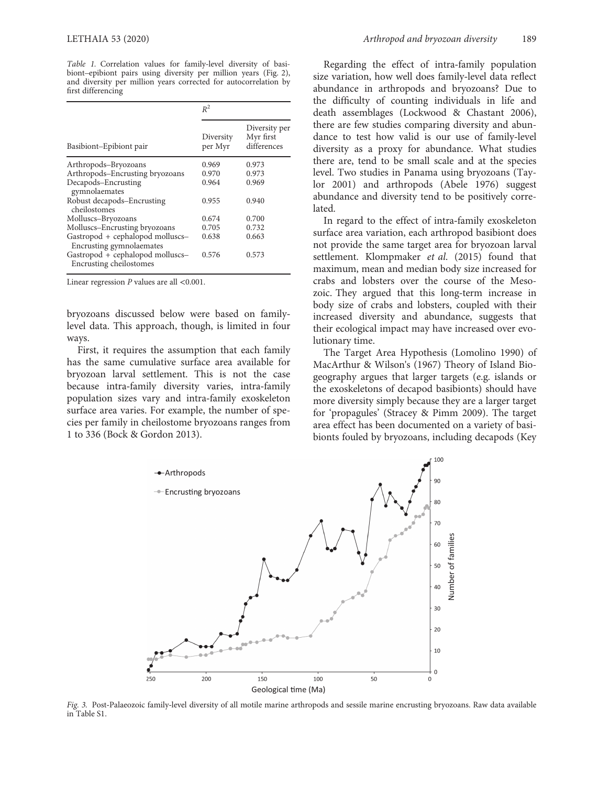Table 1. Correlation values for family-level diversity of basibiont–epibiont pairs using diversity per million years (Fig. 2), and diversity per million years corrected for autocorrelation by first differencing

| Basibiont-Epibiont pair                                      | $R^2$                |                                           |
|--------------------------------------------------------------|----------------------|-------------------------------------------|
|                                                              | Diversity<br>per Myr | Diversity per<br>Myr first<br>differences |
| Arthropods-Bryozoans                                         | 0.969                | 0.973                                     |
| Arthropods-Encrusting bryozoans                              | 0.970                | 0.973                                     |
| Decapods-Encrusting<br>gymnolaemates                         | 0.964                | 0.969                                     |
| Robust decapods-Encrusting<br>cheilostomes                   | 0.955                | 0.940                                     |
| Molluscs-Bryozoans                                           | 0.674                | 0.700                                     |
| Molluscs-Encrusting bryozoans                                | 0.705                | 0.732                                     |
| Gastropod + cephalopod molluscs-<br>Encrusting gymnolaemates | 0.638                | 0.663                                     |
| Gastropod + cephalopod molluscs-<br>Encrusting cheilostomes  | 0.576                | 0.573                                     |

Linear regression P values are all <0.001.

bryozoans discussed below were based on family‐ level data. This approach, though, is limited in four ways.

First, it requires the assumption that each family has the same cumulative surface area available for bryozoan larval settlement. This is not the case because intra‐family diversity varies, intra‐family population sizes vary and intra‐family exoskeleton surface area varies. For example, the number of species per family in cheilostome bryozoans ranges from 1 to 336 (Bock & Gordon 2013).

Regarding the effect of intra‐family population size variation, how well does family‐level data reflect abundance in arthropods and bryozoans? Due to the difficulty of counting individuals in life and death assemblages (Lockwood & Chastant 2006), there are few studies comparing diversity and abundance to test how valid is our use of family‐level diversity as a proxy for abundance. What studies there are, tend to be small scale and at the species level. Two studies in Panama using bryozoans (Taylor 2001) and arthropods (Abele 1976) suggest abundance and diversity tend to be positively correlated.

In regard to the effect of intra‐family exoskeleton surface area variation, each arthropod basibiont does not provide the same target area for bryozoan larval settlement. Klompmaker et al. (2015) found that maximum, mean and median body size increased for crabs and lobsters over the course of the Mesozoic. They argued that this long‐term increase in body size of crabs and lobsters, coupled with their increased diversity and abundance, suggests that their ecological impact may have increased over evolutionary time.

The Target Area Hypothesis (Lomolino 1990) of MacArthur & Wilson's (1967) Theory of Island Biogeography argues that larger targets (e.g. islands or the exoskeletons of decapod basibionts) should have more diversity simply because they are a larger target for 'propagules' (Stracey & Pimm 2009). The target area effect has been documented on a variety of basibionts fouled by bryozoans, including decapods (Key



Fig. 3. Post-Palaeozoic family-level diversity of all motile marine arthropods and sessile marine encrusting bryozoans. Raw data available in Table S1.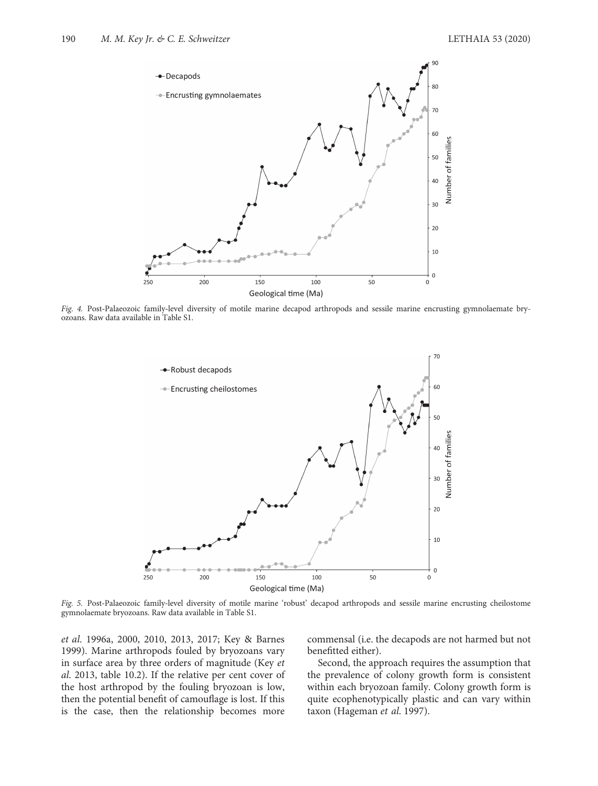

Fig. 4. Post-Palaeozoic family-level diversity of motile marine decapod arthropods and sessile marine encrusting gymnolaemate bryozoans. Raw data available in Table S1.



Fig. 5. Post-Palaeozoic family-level diversity of motile marine 'robust' decapod arthropods and sessile marine encrusting cheilostome gymnolaemate bryozoans. Raw data available in Table S1.

et al. 1996a, 2000, 2010, 2013, 2017; Key & Barnes 1999). Marine arthropods fouled by bryozoans vary in surface area by three orders of magnitude (Key et al. 2013, table 10.2). If the relative per cent cover of the host arthropod by the fouling bryozoan is low, then the potential benefit of camouflage is lost. If this is the case, then the relationship becomes more

commensal (i.e. the decapods are not harmed but not benefitted either).

Second, the approach requires the assumption that the prevalence of colony growth form is consistent within each bryozoan family. Colony growth form is quite ecophenotypically plastic and can vary within taxon (Hageman et al. 1997).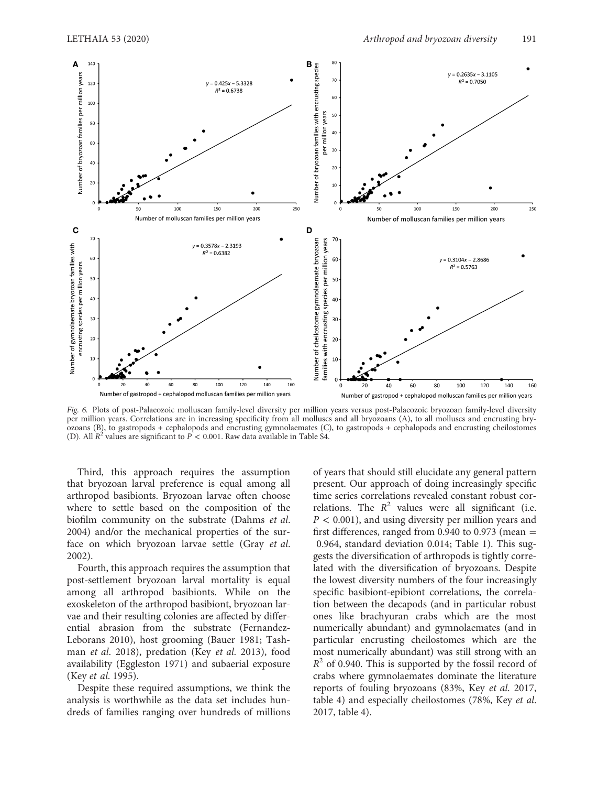

Fig. 6. Plots of post-Palaeozoic molluscan family-level diversity per million years versus post-Palaeozoic bryozoan family-level diversity per million years. Correlations are in increasing specificity from all molluscs and all bryozoans (A), to all molluscs and encrusting bryozoans (B), to gastropods + cephalopods and encrusting gymnolaemates (C), to gastropods + cephalopods and encrusting cheilostomes (D). All  $R^2$  values are significant to  $\overline{P}$  < 0.001. Raw data available in Table S4.

Third, this approach requires the assumption that bryozoan larval preference is equal among all arthropod basibionts. Bryozoan larvae often choose where to settle based on the composition of the biofilm community on the substrate (Dahms et al. 2004) and/or the mechanical properties of the surface on which bryozoan larvae settle (Gray et al. 2002).

Fourth, this approach requires the assumption that post‐settlement bryozoan larval mortality is equal among all arthropod basibionts. While on the exoskeleton of the arthropod basibiont, bryozoan larvae and their resulting colonies are affected by differential abrasion from the substrate (Fernandez-Leborans 2010), host grooming (Bauer 1981; Tashman et al. 2018), predation (Key et al. 2013), food availability (Eggleston 1971) and subaerial exposure (Key et al. 1995).

Despite these required assumptions, we think the analysis is worthwhile as the data set includes hundreds of families ranging over hundreds of millions of years that should still elucidate any general pattern present. Our approach of doing increasingly specific time series correlations revealed constant robust correlations. The  $R^2$  values were all significant (i.e.  $P < 0.001$ ), and using diversity per million years and first differences, ranged from  $0.940$  to  $0.973$  (mean  $=$ 0.964, standard deviation 0.014; Table 1). This suggests the diversification of arthropods is tightly correlated with the diversification of bryozoans. Despite the lowest diversity numbers of the four increasingly specific basibiont-epibiont correlations, the correlation between the decapods (and in particular robust ones like brachyuran crabs which are the most numerically abundant) and gymnolaemates (and in particular encrusting cheilostomes which are the most numerically abundant) was still strong with an  $R^2$  of 0.940. This is supported by the fossil record of crabs where gymnolaemates dominate the literature reports of fouling bryozoans (83%, Key et al. 2017, table 4) and especially cheilostomes (78%, Key et al. 2017, table 4).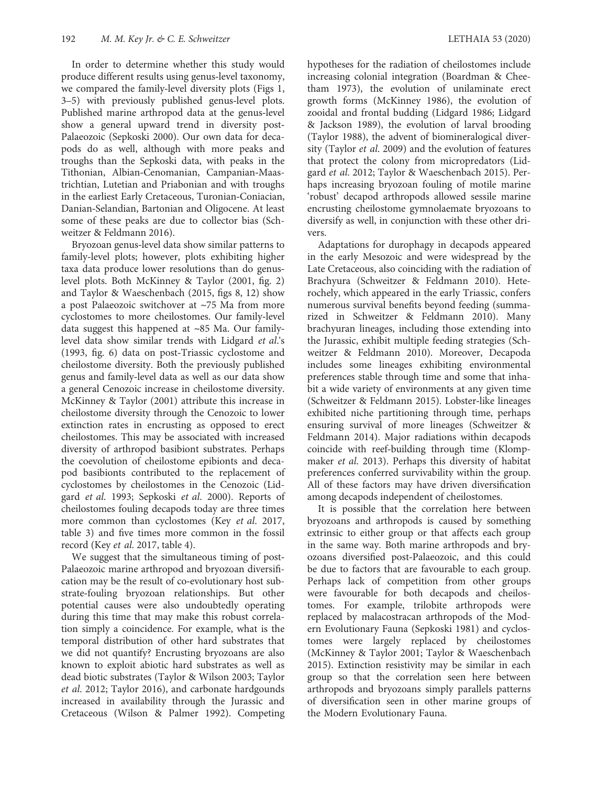In order to determine whether this study would produce different results using genus‐level taxonomy, we compared the family-level diversity plots (Figs 1, 3–5) with previously published genus‐level plots. Published marine arthropod data at the genus‐level show a general upward trend in diversity post-Palaeozoic (Sepkoski 2000). Our own data for decapods do as well, although with more peaks and troughs than the Sepkoski data, with peaks in the Tithonian, Albian‐Cenomanian, Campanian‐Maastrichtian, Lutetian and Priabonian and with troughs in the earliest Early Cretaceous, Turonian‐Coniacian, Danian‐Selandian, Bartonian and Oligocene. At least some of these peaks are due to collector bias (Schweitzer & Feldmann 2016).

Bryozoan genus‐level data show similar patterns to family‐level plots; however, plots exhibiting higher taxa data produce lower resolutions than do genuslevel plots. Both McKinney & Taylor (2001, fig. 2) and Taylor & Waeschenbach (2015, figs 8, 12) show a post Palaeozoic switchover at ~75 Ma from more cyclostomes to more cheilostomes. Our family‐level data suggest this happened at ~85 Ma. Our family‐ level data show similar trends with Lidgard et al.'s (1993, fig. 6) data on post‐Triassic cyclostome and cheilostome diversity. Both the previously published genus and family‐level data as well as our data show a general Cenozoic increase in cheilostome diversity. McKinney & Taylor (2001) attribute this increase in cheilostome diversity through the Cenozoic to lower extinction rates in encrusting as opposed to erect cheilostomes. This may be associated with increased diversity of arthropod basibiont substrates. Perhaps the coevolution of cheilostome epibionts and decapod basibionts contributed to the replacement of cyclostomes by cheilostomes in the Cenozoic (Lidgard et al. 1993; Sepkoski et al. 2000). Reports of cheilostomes fouling decapods today are three times more common than cyclostomes (Key et al. 2017, table 3) and five times more common in the fossil record (Key et al. 2017, table 4).

We suggest that the simultaneous timing of post-Palaeozoic marine arthropod and bryozoan diversification may be the result of co‐evolutionary host substrate‐fouling bryozoan relationships. But other potential causes were also undoubtedly operating during this time that may make this robust correlation simply a coincidence. For example, what is the temporal distribution of other hard substrates that we did not quantify? Encrusting bryozoans are also known to exploit abiotic hard substrates as well as dead biotic substrates (Taylor & Wilson 2003; Taylor et al. 2012; Taylor 2016), and carbonate hardgounds increased in availability through the Jurassic and Cretaceous (Wilson & Palmer 1992). Competing hypotheses for the radiation of cheilostomes include increasing colonial integration (Boardman & Cheetham 1973), the evolution of unilaminate erect growth forms (McKinney 1986), the evolution of zooidal and frontal budding (Lidgard 1986; Lidgard & Jackson 1989), the evolution of larval brooding (Taylor 1988), the advent of biomineralogical diversity (Taylor et al. 2009) and the evolution of features that protect the colony from micropredators (Lidgard et al. 2012; Taylor & Waeschenbach 2015). Perhaps increasing bryozoan fouling of motile marine 'robust' decapod arthropods allowed sessile marine encrusting cheilostome gymnolaemate bryozoans to diversify as well, in conjunction with these other drivers.

Adaptations for durophagy in decapods appeared in the early Mesozoic and were widespread by the Late Cretaceous, also coinciding with the radiation of Brachyura (Schweitzer & Feldmann 2010). Heterochely, which appeared in the early Triassic, confers numerous survival benefits beyond feeding (summarized in Schweitzer & Feldmann 2010). Many brachyuran lineages, including those extending into the Jurassic, exhibit multiple feeding strategies (Schweitzer & Feldmann 2010). Moreover, Decapoda includes some lineages exhibiting environmental preferences stable through time and some that inhabit a wide variety of environments at any given time (Schweitzer & Feldmann 2015). Lobster‐like lineages exhibited niche partitioning through time, perhaps ensuring survival of more lineages (Schweitzer & Feldmann 2014). Major radiations within decapods coincide with reef‐building through time (Klompmaker et al. 2013). Perhaps this diversity of habitat preferences conferred survivability within the group. All of these factors may have driven diversification among decapods independent of cheilostomes.

It is possible that the correlation here between bryozoans and arthropods is caused by something extrinsic to either group or that affects each group in the same way. Both marine arthropods and bryozoans diversified post‐Palaeozoic, and this could be due to factors that are favourable to each group. Perhaps lack of competition from other groups were favourable for both decapods and cheilostomes. For example, trilobite arthropods were replaced by malacostracan arthropods of the Modern Evolutionary Fauna (Sepkoski 1981) and cyclostomes were largely replaced by cheilostomes (McKinney & Taylor 2001; Taylor & Waeschenbach 2015). Extinction resistivity may be similar in each group so that the correlation seen here between arthropods and bryozoans simply parallels patterns of diversification seen in other marine groups of the Modern Evolutionary Fauna.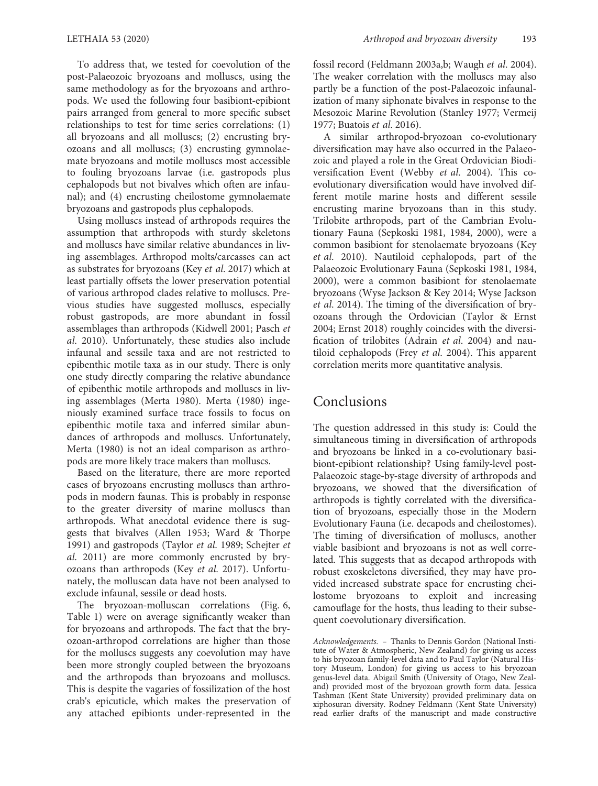To address that, we tested for coevolution of the post‐Palaeozoic bryozoans and molluscs, using the same methodology as for the bryozoans and arthropods. We used the following four basibiont‐epibiont pairs arranged from general to more specific subset relationships to test for time series correlations: (1) all bryozoans and all molluscs; (2) encrusting bryozoans and all molluscs; (3) encrusting gymnolaemate bryozoans and motile molluscs most accessible to fouling bryozoans larvae (i.e. gastropods plus cephalopods but not bivalves which often are infaunal); and (4) encrusting cheilostome gymnolaemate bryozoans and gastropods plus cephalopods.

Using molluscs instead of arthropods requires the assumption that arthropods with sturdy skeletons and molluscs have similar relative abundances in living assemblages. Arthropod molts/carcasses can act as substrates for bryozoans (Key et al. 2017) which at least partially offsets the lower preservation potential of various arthropod clades relative to molluscs. Previous studies have suggested molluscs, especially robust gastropods, are more abundant in fossil assemblages than arthropods (Kidwell 2001; Pasch et al. 2010). Unfortunately, these studies also include infaunal and sessile taxa and are not restricted to epibenthic motile taxa as in our study. There is only one study directly comparing the relative abundance of epibenthic motile arthropods and molluscs in living assemblages (Merta 1980). Merta (1980) ingeniously examined surface trace fossils to focus on epibenthic motile taxa and inferred similar abundances of arthropods and molluscs. Unfortunately, Merta (1980) is not an ideal comparison as arthropods are more likely trace makers than molluscs.

Based on the literature, there are more reported cases of bryozoans encrusting molluscs than arthropods in modern faunas. This is probably in response to the greater diversity of marine molluscs than arthropods. What anecdotal evidence there is suggests that bivalves (Allen 1953; Ward & Thorpe 1991) and gastropods (Taylor et al. 1989; Schejter et al. 2011) are more commonly encrusted by bryozoans than arthropods (Key et al. 2017). Unfortunately, the molluscan data have not been analysed to exclude infaunal, sessile or dead hosts.

The bryozoan-molluscan correlations (Fig. 6, Table 1) were on average significantly weaker than for bryozoans and arthropods. The fact that the bryozoan‐arthropod correlations are higher than those for the molluscs suggests any coevolution may have been more strongly coupled between the bryozoans and the arthropods than bryozoans and molluscs. This is despite the vagaries of fossilization of the host crab's epicuticle, which makes the preservation of any attached epibionts under‐represented in the

fossil record (Feldmann 2003a,b; Waugh et al. 2004). The weaker correlation with the molluscs may also partly be a function of the post‐Palaeozoic infaunalization of many siphonate bivalves in response to the Mesozoic Marine Revolution (Stanley 1977; Vermeij 1977; Buatois et al. 2016).

A similar arthropod‐bryozoan co‐evolutionary diversification may have also occurred in the Palaeozoic and played a role in the Great Ordovician Biodiversification Event (Webby et al. 2004). This coevolutionary diversification would have involved different motile marine hosts and different sessile encrusting marine bryozoans than in this study. Trilobite arthropods, part of the Cambrian Evolutionary Fauna (Sepkoski 1981, 1984, 2000), were a common basibiont for stenolaemate bryozoans (Key et al. 2010). Nautiloid cephalopods, part of the Palaeozoic Evolutionary Fauna (Sepkoski 1981, 1984, 2000), were a common basibiont for stenolaemate bryozoans (Wyse Jackson & Key 2014; Wyse Jackson et al. 2014). The timing of the diversification of bryozoans through the Ordovician (Taylor & Ernst 2004; Ernst 2018) roughly coincides with the diversification of trilobites (Adrain et al. 2004) and nautiloid cephalopods (Frey et al. 2004). This apparent correlation merits more quantitative analysis.

## **Conclusions**

The question addressed in this study is: Could the simultaneous timing in diversification of arthropods and bryozoans be linked in a co-evolutionary basibiont-epibiont relationship? Using family-level post-Palaeozoic stage‐by‐stage diversity of arthropods and bryozoans, we showed that the diversification of arthropods is tightly correlated with the diversification of bryozoans, especially those in the Modern Evolutionary Fauna (i.e. decapods and cheilostomes). The timing of diversification of molluscs, another viable basibiont and bryozoans is not as well correlated. This suggests that as decapod arthropods with robust exoskeletons diversified, they may have provided increased substrate space for encrusting cheilostome bryozoans to exploit and increasing camouflage for the hosts, thus leading to their subsequent coevolutionary diversification.

Acknowledgements. – Thanks to Dennis Gordon (National Institute of Water & Atmospheric, New Zealand) for giving us access to his bryozoan family-level data and to Paul Taylor (Natural History Museum, London) for giving us access to his bryozoan genus‐level data. Abigail Smith (University of Otago, New Zealand) provided most of the bryozoan growth form data. Jessica Tashman (Kent State University) provided preliminary data on xiphosuran diversity. Rodney Feldmann (Kent State University) read earlier drafts of the manuscript and made constructive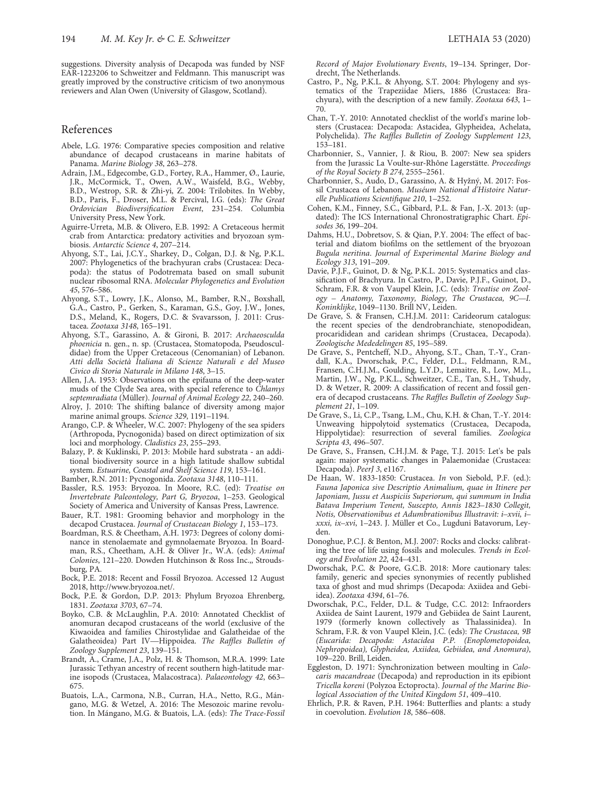suggestions. Diversity analysis of Decapoda was funded by NSF EAR‐1223206 to Schweitzer and Feldmann. This manuscript was greatly improved by the constructive criticism of two anonymous reviewers and Alan Owen (University of Glasgow, Scotland).

#### References

- Abele, L.G. 1976: Comparative species composition and relative abundance of decapod crustaceans in marine habitats of Panama. Marine Biology 38, 263–278.
- Adrain, J.M., Edgecombe, G.D., Fortey, R.A., Hammer, Ø., Laurie, J.R., McCormick, T., Owen, A.W., Waisfeld, B.G., Webby, B.D., Westrop, S.R. & Zhi‐yi, Z. 2004: Trilobites. In Webby, B.D., Paris, F., Droser, M.L. & Percival, I.G. (eds): The Great Ordovician Biodiversification Event, 231–254. Columbia University Press, New York.
- Aguirre‐Urreta, M.B. & Olivero, E.B. 1992: A Cretaceous hermit crab from Antarctica: predatory activities and bryozoan symbiosis. Antarctic Science 4, 207–214.
- Ahyong, S.T., Lai, J.C.Y., Sharkey, D., Colgan, D.J. & Ng, P.K.L. 2007: Phylogenetics of the brachyuran crabs (Crustacea: Decapoda): the status of Podotremata based on small subunit nuclear ribosomal RNA. Molecular Phylogenetics and Evolution 45, 576–586.
- Ahyong, S.T., Lowry, J.K., Alonso, M., Bamber, R.N., Boxshall, G.A., Castro, P., Gerken, S., Karaman, G.S., Goy, J.W., Jones, D.S., Meland, K., Rogers, D.C. & Svavarsson, J. 2011: Crustacea. Zootaxa 3148, 165–191.
- Ahyong, S.T., Garassino, A. & Gironi, B. 2017: Archaeosculda phoenicia n. gen., n. sp. (Crustacea, Stomatopoda, Pseudosculdidae) from the Upper Cretaceous (Cenomanian) of Lebanon. Atti della Società Italiana di Scienze Naturali e del Museo Civico di Storia Naturale in Milano 148, 3–15.
- Allen, J.A. 1953: Observations on the epifauna of the deep‐water muds of the Clyde Sea area, with special reference to Chlamys septemradiata (Müller). Journal of Animal Ecology 22, 240-260.
- Alroy, J. 2010: The shifting balance of diversity among major marine animal groups. Science 329, 1191–1194.
- Arango, C.P. & Wheeler, W.C. 2007: Phylogeny of the sea spiders (Arthropoda, Pycnogonida) based on direct optimization of six loci and morphology. Cladistics 23, 255–293.
- Balazy, P. & Kuklinski, P. 2013: Mobile hard substrata ‐ an additional biodiversity source in a high latitude shallow subtidal system. Estuarine, Coastal and Shelf Science 119, 153–161.
- Bamber, R.N. 2011: Pycnogonida. Zootaxa 3148, 110–111.
- Bassler, R.S. 1953: Bryozoa. In Moore, R.C. (ed): Treatise on Invertebrate Paleontology, Part G, Bryozoa, 1–253. Geological Society of America and University of Kansas Press, Lawrence.
- Bauer, R.T. 1981: Grooming behavior and morphology in the decapod Crustacea. Journal of Crustacean Biology 1, 153–173.
- Boardman, R.S. & Cheetham, A.H. 1973: Degrees of colony dominance in stenolaemate and gymnolaemate Bryozoa. In Boardman, R.S., Cheetham, A.H. & Oliver Jr., W.A. (eds): Animal Colonies, 121–220. Dowden Hutchinson & Ross Inc.,, Stroudsburg, PA.
- Bock, P.E. 2018: Recent and Fossil Bryozoa. Accessed 12 August 2018,<http://www.bryozoa.net/>.
- Bock, P.E. & Gordon, D.P. 2013: Phylum Bryozoa Ehrenberg, 1831. Zootaxa 3703, 67–74.
- Boyko, C.B. & McLaughlin, P.A. 2010: Annotated Checklist of anomuran decapod crustaceans of the world (exclusive of the Kiwaoidea and families Chirostylidae and Galatheidae of the Galatheoidea) Part IV—Hippoidea. The Raffles Bulletin of Zoology Supplement 23, 139–151.
- Brandt, A., Crame, J.A., Polz, H. & Thomson, M.R.A. 1999: Late Jurassic Tethyan ancestry of recent southern high‐latitude marine isopods (Crustacea, Malacostraca). Palaeontology 42, 663– 675.
- Buatois, L.A., Carmona, N.B., Curran, H.A., Netto, R.G., Mángano, M.G. & Wetzel, A. 2016: The Mesozoic marine revolution. In Mángano, M.G. & Buatois, L.A. (eds): The Trace*‐*Fossil

Record of Major Evolutionary Events, 19–134. Springer, Dordrecht, The Netherlands.

- Castro, P., Ng, P.K.L. & Ahyong, S.T. 2004: Phylogeny and systematics of the Trapeziidae Miers, 1886 (Crustacea: Brachyura), with the description of a new family. Zootaxa 643, 1– 70.
- Chan, T.‐Y. 2010: Annotated checklist of the world's marine lobsters (Crustacea: Decapoda: Astacidea, Glypheidea, Achelata, Polychelida). The Raffles Bulletin of Zoology Supplement 123, 153–181.
- Charbonnier, S., Vannier, J. & Riou, B. 2007: New sea spiders from the Jurassic La Voulte-sur-Rhône Lagerstätte. Proceedings of the Royal Society B 274, 2555–2561.
- Charbonnier, S., Audo, D., Garassino, A. & Hyžný, M. 2017: Fossil Crustacea of Lebanon. Muséum National d'Histoire Naturelle Publications Scientifique 210, 1–252.
- Cohen, K.M., Finney, S.C., Gibbard, P.L. & Fan, J.‐X. 2013: (updated): The ICS International Chronostratigraphic Chart. Episodes 36, 199–204.
- Dahms, H.U., Dobretsov, S. & Qian, P.Y. 2004: The effect of bacterial and diatom biofilms on the settlement of the bryozoan Bugula neritina. Journal of Experimental Marine Biology and Ecology 313, 191–209.
- Davie, P.J.F., Guinot, D. & Ng, P.K.L. 2015: Systematics and classification of Brachyura. In Castro, P., Davie, P.J.F., Guinot, D., Schram, F.R. & von Vaupel Klein, J.C. (eds): Treatise on Zoology *–* Anatomy, Taxonomy, Biology, The Crustacea, 9C*—*I. Koninklijke, 1049–1130. Brill NV, Leiden.
- De Grave, S. & Fransen, C.H.J.M. 2011: Carideorum catalogus: the recent species of the dendrobranchiate, stenopodidean, procarididean and caridean shrimps (Crustacea, Decapoda). Zoologische Mededelingen 85, 195–589.
- De Grave, S., Pentcheff, N.D., Ahyong, S.T., Chan, T.‐Y., Crandall, K.A., Dworschak, P.C., Felder, D.L., Feldmann, R.M., Fransen, C.H.J.M., Goulding, L.Y.D., Lemaitre, R., Low, M.L., Martin, J.W., Ng, P.K.L., Schweitzer, C.E., Tan, S.H., Tshudy, D. & Wetzer, R. 2009: A classification of recent and fossil genera of decapod crustaceans. The Raffles Bulletin of Zoology Supplement 21, 1–109.
- De Grave, S., Li, C.P., Tsang, L.M., Chu, K.H. & Chan, T.‐Y. 2014: Unweaving hippolytoid systematics (Crustacea, Decapoda, Hippolytidae): resurrection of several families. Zoologica Scripta 43, 496–507.
- De Grave, S., Fransen, C.H.J.M. & Page, T.J. 2015: Let's be pals again: major systematic changes in Palaemonidae (Crustacea: Decapoda). PeerJ 3, e1167.
- De Haan, W. 1833-1850: Crustacea. In von Siebold, P.F. (ed.): Fauna Japonica sive Descriptio Animalium, quae in Itinere per Japoniam, Jussu et Auspiciis Superiorum, qui summum in India Batava Imperium Tenent, Suscepto, Annis 1823*–*1830 Collegit, Notis, Observationibus et Adumbrationibus Illustravit: i*–*xvii, i*–* xxxi, ix*–*xvi, 1–243. J. Müller et Co., Lugduni Batavorum, Leyden.
- Donoghue, P.C.J. & Benton, M.J. 2007: Rocks and clocks: calibrating the tree of life using fossils and molecules. Trends in Ecology and Evolution 22, 424–431.
- Dworschak, P.C. & Poore, G.C.B. 2018: More cautionary tales: family, generic and species synonymies of recently published taxa of ghost and mud shrimps (Decapoda: Axiidea and Gebiidea). Zootaxa 4394, 61–76.
- Dworschak, P.C., Felder, D.L. & Tudge, C.C. 2012: Infraorders Axiidea de Saint Laurent, 1979 and Gebiidea de Saint Laurent, 1979 (formerly known collectively as Thalassinidea). In Schram, F.R. & von Vaupel Klein, J.C. (eds): The Crustacea, 9B (Eucarida: Decapoda: Astacidea P.P. (Enoplometopoidea, Nephropoidea), Glypheidea, Axiidea, Gebiidea, and Anomura), 109–220. Brill, Leiden.
- Eggleston, D. 1971: Synchronization between moulting in Calocaris macandreae (Decapoda) and reproduction in its epibiont Tricella koreni (Polyzoa Ectoprocta). Journal of the Marine Biological Association of the United Kingdom 51, 409–410.
- Ehrlich, P.R. & Raven, P.H. 1964: Butterflies and plants: a study in coevolution. Evolution 18, 586–608.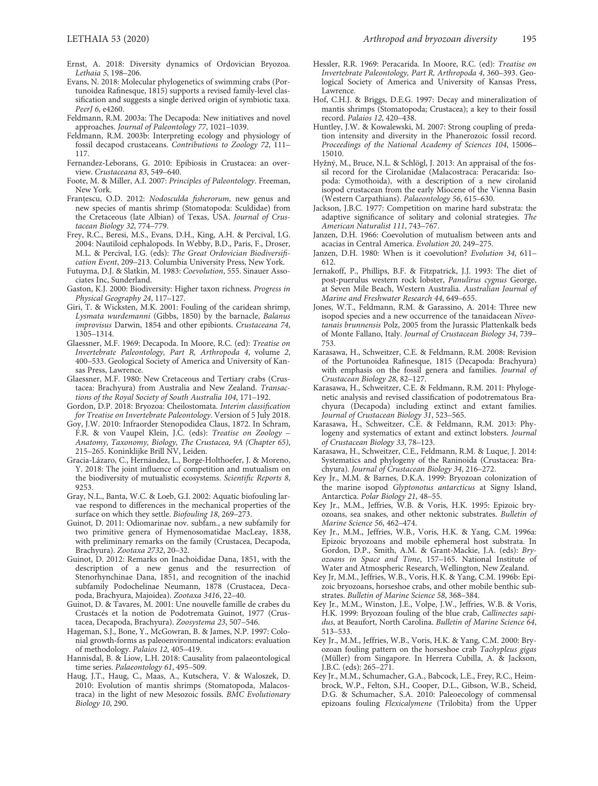- Ernst, A. 2018: Diversity dynamics of Ordovician Bryozoa. Lethaia 5, 198–206.
- Evans, N. 2018: Molecular phylogenetics of swimming crabs (Portunoidea Rafinesque, 1815) supports a revised family‐level classification and suggests a single derived origin of symbiotic taxa. PeerJ 6, e4260.
- Feldmann, R.M. 2003a: The Decapoda: New initiatives and novel approaches. Journal of Paleontology 77, 1021–1039.
- Feldmann, R.M. 2003b: Interpreting ecology and physiology of fossil decapod crustaceans. Contributions to Zoology 72, 111– 117.
- Fernandez‐Leborans, G. 2010: Epibiosis in Crustacea: an overview. Crustaceana 83, 549–640.
- Foote, M. & Miller, A.I. 2007: Principles of Paleontology. Freeman, New York.
- Franțescu, O.D. 2012: Nodosculda fisherorum, new genus and new species of mantis shrimp (Stomatopoda: Sculdidae) from the Cretaceous (late Albian) of Texas, USA. Journal of Crustacean Biology 32, 774–779.
- Frey, R.C., Beresi, M.S., Evans, D.H., King, A.H. & Percival, I.G. 2004: Nautiloid cephalopods. In Webby, B.D., Paris, F., Droser, M.L. & Percival, I.G. (eds): The Great Ordovician Biodiversification Event, 209–213. Columbia University Press, New York.
- Futuyma, D.J. & Slatkin, M. 1983: Coevolution, 555. Sinauer Associates Inc, Sunderland.
- Gaston, K.J. 2000: Biodiversity: Higher taxon richness. Progress in Physical Geography 24, 117–127.
- Giri, T. & Wicksten, M.K. 2001: Fouling of the caridean shrimp, Lysmata wurdemanni (Gibbs, 1850) by the barnacle, Balanus improvisus Darwin, 1854 and other epibionts. Crustaceana 74, 1305–1314.
- Glaessner, M.F. 1969: Decapoda. In Moore, R.C. (ed): Treatise on Invertebrate Paleontology, Part R, Arthropoda 4, volume 2, 400–533. Geological Society of America and University of Kansas Press, Lawrence.
- Glaessner, M.F. 1980: New Cretaceous and Tertiary crabs (Crustacea: Brachyura) from Australia and New Zealand. Transactions of the Royal Society of South Australia 104, 171–192.
- Gordon, D.P. 2018: Bryozoa: Cheilostomata. Interim classification for Treatise on Invertebrate Paleontology. Version of 5 July 2018.
- Goy, J.W. 2010: Infraorder Stenopodidea Claus, 1872. In Schram, F.R. & von Vaupel Klein, J.C. (eds): Treatise on Zoology *–* Anatomy, Taxonomy, Biology, The Crustacea, 9A (Chapter 65), 215–265. Koninklijke Brill NV, Leiden.
- Gracia‐Lázaro, C., Hernández, L., Borge‐Holthoefer, J. & Moreno, Y. 2018: The joint influence of competition and mutualism on the biodiversity of mutualistic ecosystems. Scientific Reports 8, 9253.
- Gray, N.L., Banta, W.C. & Loeb, G.I. 2002: Aquatic biofouling larvae respond to differences in the mechanical properties of the surface on which they settle. Biofouling 18, 269–273.
- Guinot, D. 2011: Odiomarinae nov. subfam., a new subfamily for two primitive genera of Hymenosomatidae MacLeay, 1838, with preliminary remarks on the family (Crustacea, Decapoda, Brachyura). Zootaxa 2732, 20–32.
- Guinot, D. 2012: Remarks on Inachoididae Dana, 1851, with the description of a new genus and the resurrection of Stenorhynchinae Dana, 1851, and recognition of the inachid subfamily Podochelinae Neumann, 1878 (Crustacea, Decapoda, Brachyura, Majoidea). Zootaxa 3416, 22–40.
- Guinot, D. & Tavares, M. 2001: Une nouvelle famille de crabes du Crustacés et la notion de Podotremata Guinot, 1977 (Crustacea, Decapoda, Brachyura). Zoosystema 23, 507–546.
- Hageman, S.J., Bone, Y., McGowran, B. & James, N.P. 1997: Colonial growth‐forms as paleoenvironmental indicators: evaluation of methodology. Palaios 12, 405–419.
- Hannisdal, B. & Liow, L.H. 2018: Causality from palaeontological time series. Palaeontology 61, 495-509.
- Haug, J.T., Haug, C., Maas, A., Kutschera, V. & Waloszek, D. 2010: Evolution of mantis shrimps (Stomatopoda, Malacostraca) in the light of new Mesozoic fossils. BMC Evolutionary Biology 10, 290.
- Hessler, R.R. 1969: Peracarida. In Moore, R.C. (ed): Treatise on Invertebrate Paleontology, Part R, Arthropoda 4, 360–393. Geological Society of America and University of Kansas Press, Lawrence.
- Hof, C.H.J. & Briggs, D.E.G. 1997: Decay and mineralization of mantis shrimps (Stomatopoda; Crustacea); a key to their fossil record. Palaios 12, 420–438.
- Huntley, J.W. & Kowalewski, M. 2007: Strong coupling of predation intensity and diversity in the Phanerozoic fossil record. Proceedings of the National Academy of Sciences 104, 15006-15010.
- Hyžný, M., Bruce, N.L. & Schlögl, J. 2013: An appraisal of the fossil record for the Cirolanidae (Malacostraca: Peracarida: Isopoda: Cymothoida), with a description of a new cirolanid isopod crustacean from the early Miocene of the Vienna Basin (Western Carpathians). Palaeontology 56, 615–630.
- Jackson, J.B.C. 1977: Competition on marine hard substrata: the adaptive significance of solitary and colonial strategies. The American Naturalist 111, 743–767.
- Janzen, D.H. 1966: Coevolution of mutualism between ants and acacias in Central America. Evolution 20, 249–275.
- Janzen, D.H. 1980: When is it coevolution? Evolution 34, 611– 612.
- Jernakoff, P., Phillips, B.F. & Fitzpatrick, J.J. 1993: The diet of post‐puerulus western rock lobster, Panulirus cygnus George, at Seven Mile Beach, Western Australia. Australian Journal of Marine and Freshwater Research 44, 649–655.
- Jones, W.T., Feldmann, R.M. & Garassino, A. 2014: Three new isopod species and a new occurrence of the tanaidacean Niveotanais brunnensis Polz, 2005 from the Jurassic Plattenkalk beds of Monte Fallano, Italy. Journal of Crustacean Biology 34, 739– 753.
- Karasawa, H., Schweitzer, C.E. & Feldmann, R.M. 2008: Revision of the Portunoidea Rafinesque, 1815 (Decapoda: Brachyura) with emphasis on the fossil genera and families. Journal of Crustacean Biology 28, 82–127.
- Karasawa, H., Schweitzer, C.E. & Feldmann, R.M. 2011: Phylogenetic analysis and revised classification of podotrematous Brachyura (Decapoda) including extinct and extant families. Journal of Crustacean Biology 31, 523–565.
- Karasawa, H., Schweitzer, C.E. & Feldmann, R.M. 2013: Phylogeny and systematics of extant and extinct lobsters. Journal of Crustacean Biology 33, 78–123.
- Karasawa, H., Schweitzer, C.E., Feldmann, R.M. & Luque, J. 2014: Systematics and phylogeny of the Raninoida (Crustacea: Brachyura). Journal of Crustacean Biology 34, 216-272.
- Key Jr., M.M. & Barnes, D.K.A. 1999: Bryozoan colonization of the marine isopod Glyptonotus antarcticus at Signy Island, Antarctica. Polar Biology 21, 48–55.
- Key Jr., M.M., Jeffries, W.B. & Voris, H.K. 1995: Epizoic bryozoans, sea snakes, and other nektonic substrates. Bulletin of Marine Science 56, 462–474.
- Key Jr., M.M., Jeffries, W.B., Voris, H.K. & Yang, C.M. 1996a: Epizoic bryozoans and mobile ephemeral host substrata. In Gordon, D.P., Smith, A.M. & Grant‐Mackie, J.A. (eds): Bryozoans in Space and Time, 157–165. National Institute of Water and Atmospheric Research, Wellington, New Zealand.
- Key Jr, M.M., Jeffries, W.B., Voris, H.K. & Yang, C.M. 1996b: Epizoic bryozoans, horseshoe crabs, and other mobile benthic substrates. Bulletin of Marine Science 58, 368–384.
- Key Jr., M.M., Winston, J.E., Volpe, J.W., Jeffries, W.B. & Voris, H.K. 1999: Bryozoan fouling of the blue crab, Callinectes sapidus, at Beaufort, North Carolina. Bulletin of Marine Science 64, 513–533.
- Key Jr., M.M., Jeffries, W.B., Voris, H.K. & Yang, C.M. 2000: Bryozoan fouling pattern on the horseshoe crab Tachypleus gigas (Müller) from Singapore. In Herrera Cubilla, A. & Jackson, J.B.C. (eds): 265–271.
- Key Jr., M.M., Schumacher, G.A., Babcock, L.E., Frey, R.C., Heimbrock, W.P., Felton, S.H., Cooper, D.L., Gibson, W.B., Scheid, D.G. & Schumacher, S.A. 2010: Paleoecology of commensal epizoans fouling Flexicalymene (Trilobita) from the Upper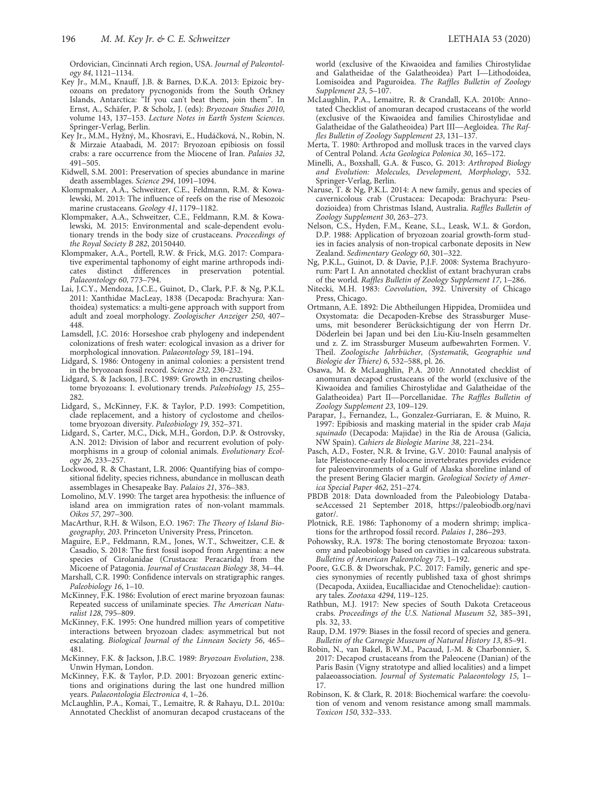Ordovician, Cincinnati Arch region, USA. Journal of Paleontology 84, 1121–1134.

- Key Jr., M.M., Knauff, J.B. & Barnes, D.K.A. 2013: Epizoic bryozoans on predatory pycnogonids from the South Orkney Islands, Antarctica: "If you can't beat them, join them". In Ernst, A., Schäfer, P. & Scholz, J. (eds): Bryozoan Studies 2010, volume 143, 137–153. Lecture Notes in Earth System Sciences. Springer‐Verlag, Berlin.
- Key Jr., M.M., Hyžný, M., Khosravi, E., Hudáčková, N., Robin, N. & Mirzaie Ataabadi, M. 2017: Bryozoan epibiosis on fossil crabs: a rare occurrence from the Miocene of Iran. Palaios 32, 491–505.
- Kidwell, S.M. 2001: Preservation of species abundance in marine death assemblages. Science 294, 1091-1094.
- Klompmaker, A.A., Schweitzer, C.E., Feldmann, R.M. & Kowalewski, M. 2013: The influence of reefs on the rise of Mesozoic marine crustaceans. Geology 41, 1179–1182.
- Klompmaker, A.A., Schweitzer, C.E., Feldmann, R.M. & Kowalewski, M. 2015: Environmental and scale‐dependent evolutionary trends in the body size of crustaceans. Proceedings of the Royal Society B 282, 20150440.
- Klompmaker, A.A., Portell, R.W. & Frick, M.G. 2017: Comparative experimental taphonomy of eight marine arthropods indicates distinct differences in preservation potential. Palaeontology 60, 773-794.
- Lai, J.C.Y., Mendoza, J.C.E., Guinot, D., Clark, P.F. & Ng, P.K.L. 2011: Xanthidae MacLeay, 1838 (Decapoda: Brachyura: Xanthoidea) systematics: a multi‐gene approach with support from adult and zoeal morphology. Zoologischer Anzeiger 250, 407– 448.
- Lamsdell, J.C. 2016: Horseshoe crab phylogeny and independent colonizations of fresh water: ecological invasion as a driver for morphological innovation. Palaeontology 59, 181–194.
- Lidgard, S. 1986: Ontogeny in animal colonies: a persistent trend in the bryozoan fossil record. Science 232, 230–232.
- Lidgard, S. & Jackson, J.B.C. 1989: Growth in encrusting cheilostome bryozoans: I. evolutionary trends. Paleobiology 15, 255– 282
- Lidgard, S., McKinney, F.K. & Taylor, P.D. 1993: Competition, clade replacement, and a history of cyclostome and cheilostome bryozoan diversity. Paleobiology 19, 352–371.
- Lidgard, S., Carter, M.C., Dick, M.H., Gordon, D.P. & Ostrovsky, A.N. 2012: Division of labor and recurrent evolution of polymorphisms in a group of colonial animals. Evolutionary Ecology 26, 233–257.
- Lockwood, R. & Chastant, L.R. 2006: Quantifying bias of compositional fidelity, species richness, abundance in molluscan death assemblages in Chesapeake Bay. Palaios 21, 376–383.
- Lomolino, M.V. 1990: The target area hypothesis: the influence of island area on immigration rates of non‐volant mammals. Oikos 57, 297–300.
- MacArthur, R.H. & Wilson, E.O. 1967: The Theory of Island Biogeography, 203. Princeton University Press, Princeton.
- Maguire, E.P., Feldmann, R.M., Jones, W.T., Schweitzer, C.E. & Casadío, S. 2018: The first fossil isopod from Argentina: a new species of Cirolanidae (Crustacea: Peracarida) from the Micoene of Patagonia. Journal of Crustacean Biology 38, 34–44.
- Marshall, C.R. 1990: Confidence intervals on stratigraphic ranges. Paleobiology 16, 1–10. McKinney, F.K. 1986: Evolution of erect marine bryozoan faunas:
- Repeated success of unilaminate species. The American Naturalist 128, 795–809.
- McKinney, F.K. 1995: One hundred million years of competitive interactions between bryozoan clades: asymmetrical but not escalating. Biological Journal of the Linnean Society 56, 465– 481.
- McKinney, F.K. & Jackson, J.B.C. 1989: Bryozoan Evolution, 238. Unwin Hyman, London.
- McKinney, F.K. & Taylor, P.D. 2001: Bryozoan generic extinctions and originations during the last one hundred million years. Palaeontologia Electronica 4, 1–26.
- McLaughlin, P.A., Komai, T., Lemaitre, R. & Rahayu, D.L. 2010a: Annotated Checklist of anomuran decapod crustaceans of the

world (exclusive of the Kiwaoidea and families Chirostylidae and Galatheidae of the Galatheoidea) Part I—Lithodoidea, Lomisoidea and Paguroidea. The Raffles Bulletin of Zoology Supplement 23, 5–107.

- McLaughlin, P.A., Lemaitre, R. & Crandall, K.A. 2010b: Annotated Checklist of anomuran decapod crustaceans of the world (exclusive of the Kiwaoidea and families Chirostylidae and Galatheidae of the Galatheoidea) Part III—Aegloidea. The Raffles Bulletin of Zoology Supplement 23, 131–137.
- Merta, T. 1980: Arthropod and mollusk traces in the varved clays of Central Poland. Acta Geologica Polonica 30, 165–172.
- Minelli, A., Boxshall, G.A. & Fusco, G. 2013: Arthropod Biology and Evolution: Molecules, Development, Morphology, 532. Springer‐Verlag, Berlin.
- Naruse, T. & Ng, P.K.L. 2014: A new family, genus and species of cavernicolous crab (Crustacea: Decapoda: Brachyura: Pseudozioidea) from Christmas Island, Australia. Raffles Bulletin of Zoology Supplement 30, 263–273.
- Nelson, C.S., Hyden, F.M., Keane, S.L., Leask, W.L. & Gordon, D.P. 1988: Application of bryozoan zoarial growth‐form studies in facies analysis of non‐tropical carbonate deposits in New Zealand. Sedimentary Geology 60, 301–322.
- Ng, P.K.L., Guinot, D. & Davie, P.J.F. 2008: Systema Brachyurorum: Part I. An annotated checklist of extant brachyuran crabs of the world. Raffles Bulletin of Zoology Supplement 17, 1–286.
- Nitecki, M.H. 1983: Coevolution, 392. University of Chicago Press, Chicago.
- Ortmann, A.E. 1892: Die Abtheilungen Hippidea, Dromiidea und Oxystomata: die Decapoden‐Krebse des Strassburger Museums, mit besonderer Berücksichtigung der von Herrn Dr. Döderlein bei Japan und bei den Liu‐Kiu‐Inseln gesammelten und z. Z. im Strassburger Museum aufbewahrten Formen. V. Theil. Zoologische Jahrbücher, (Systematik, Geographie und Biologie der Thiere) 6, 532–588, pl. 26.
- Osawa, M. & McLaughlin, P.A. 2010: Annotated checklist of anomuran decapod crustaceans of the world (exclusive of the Kiwaoidea and families Chirostylidae and Galatheidae of the Galatheoidea) Part II—Porcellanidae. The Raffles Bulletin of Zoology Supplement 23, 109–129.
- Parapar, J., Fernandez, L., Gonzalez‐Gurriaran, E. & Muino, R. 1997: Epibiosis and masking material in the spider crab Maja squinado (Decapoda: Majidae) in the Ria de Arousa (Galicia, NW Spain). Cahiers de Biologie Marine 38, 221–234.
- Pasch, A.D., Foster, N.R. & Irvine, G.V. 2010: Faunal analysis of late Pleistocene‐early Holocene invertebrates provides evidence for paleoenvironments of a Gulf of Alaska shoreline inland of the present Bering Glacier margin. Geological Society of America Special Paper 462, 251–274.
- PBDB 2018: Data downloaded from the Paleobiology DatabaseAccessed 21 September 2018, [https://paleobiodb.org/navi](https://paleobiodb.org/navigator/) [gator/.](https://paleobiodb.org/navigator/)
- Plotnick, R.E. 1986: Taphonomy of a modern shrimp; implications for the arthropod fossil record. Palaios 1, 286–293.
- Pohowsky, R.A. 1978: The boring ctenostomate Bryozoa: taxonomy and paleobiology based on cavities in calcareous substrata. Bulletins of American Paleontology 73, 1–192.
- Poore, G.C.B. & Dworschak, P.C. 2017: Family, generic and species synonymies of recently published taxa of ghost shrimps (Decapoda, Axiidea, Eucalliacidae and Ctenochelidae): cautionary tales. Zootaxa 4294, 119–125.
- Rathbun, M.J. 1917: New species of South Dakota Cretaceous crabs. Proceedings of the U.S. National Museum 52, 385-391, pls. 32, 33.
- Raup, D.M. 1979: Biases in the fossil record of species and genera. Bulletin of the Carnegie Museum of Natural History 13, 85–91.
- Robin, N., van Bakel, B.W.M., Pacaud, J.‐M. & Charbonnier, S. 2017: Decapod crustaceans from the Paleocene (Danian) of the Paris Basin (Vigny stratotype and allied localities) and a limpet palaeoassociation. Journal of Systematic Palaeontology 15, 1– 17.
- Robinson, K. & Clark, R. 2018: Biochemical warfare: the coevolution of venom and venom resistance among small mammals. Toxicon 150, 332–333.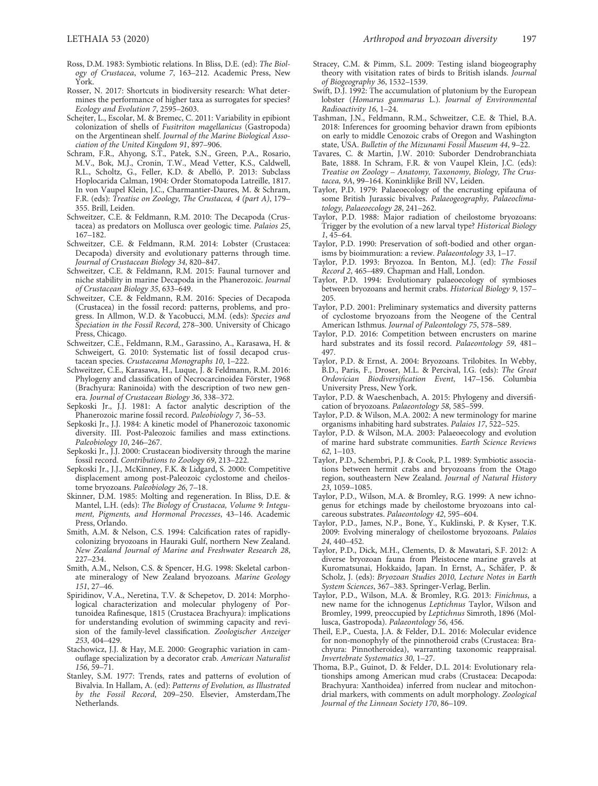- Ross, D.M. 1983: Symbiotic relations. In Bliss, D.E. (ed): The Biology of Crustacea, volume 7, 163–212. Academic Press, New York.
- Rosser, N. 2017: Shortcuts in biodiversity research: What determines the performance of higher taxa as surrogates for species? Ecology and Evolution 7, 2595–2603.
- Schejter, L., Escolar, M. & Bremec, C. 2011: Variability in epibiont colonization of shells of Fusitriton magellanicus (Gastropoda) on the Argentinean shelf. Journal of the Marine Biological Association of the United Kingdom 91, 897–906.
- Schram, F.R., Ahyong, S.T., Patek, S.N., Green, P.A., Rosario, M.V., Bok, M.J., Cronin, T.W., Mead Vetter, K.S., Caldwell, R.L., Scholtz, G., Feller, K.D. & Abelló, P. 2013: Subclass Hoplocarida Calman, 1904: Order Stomatopoda Latreille, 1817. In von Vaupel Klein, J.C., Charmantier‐Daures, M. & Schram, F.R. (eds): Treatise on Zoology, The Crustacea, 4 (part A), 179– 355. Brill, Leiden.
- Schweitzer, C.E. & Feldmann, R.M. 2010: The Decapoda (Crustacea) as predators on Mollusca over geologic time. Palaios 25, 167–182.
- Schweitzer, C.E. & Feldmann, R.M. 2014: Lobster (Crustacea: Decapoda) diversity and evolutionary patterns through time. Journal of Crustacean Biology 34, 820-847.
- Schweitzer, C.E. & Feldmann, R.M. 2015: Faunal turnover and niche stability in marine Decapoda in the Phanerozoic. Journal of Crustacean Biology 35, 633–649.
- Schweitzer, C.E. & Feldmann, R.M. 2016: Species of Decapoda (Crustacea) in the fossil record: patterns, problems, and progress. In Allmon, W.D. & Yacobucci, M.M. (eds): Species and Speciation in the Fossil Record, 278–300. University of Chicago Press, Chicago.
- Schweitzer, C.E., Feldmann, R.M., Garassino, A., Karasawa, H. & Schweigert, G. 2010: Systematic list of fossil decapod crustacean species. Crustaceana Monographs 10, 1–222.
- Schweitzer, C.E., Karasawa, H., Luque, J. & Feldmann, R.M. 2016: Phylogeny and classification of Necrocarcinoidea Förster, 1968 (Brachyura: Raninoida) with the description of two new genera. Journal of Crustacean Biology 36, 338–372.
- Sepkoski Jr., J.J. 1981: A factor analytic description of the Phanerozoic marine fossil record. Paleobiology 7, 36–53.
- Sepkoski Jr., J.J. 1984: A kinetic model of Phanerozoic taxonomic diversity. III. Post‐Paleozoic families and mass extinctions. Paleobiology 10, 246–267.
- Sepkoski Jr., J.J. 2000: Crustacean biodiversity through the marine fossil record. Contributions to Zoology 69, 213–222.
- Sepkoski Jr., J.J., McKinney, F.K. & Lidgard, S. 2000: Competitive displacement among post‐Paleozoic cyclostome and cheilostome bryozoans. Paleobiology 26, 7–18.
- Skinner, D.M. 1985: Molting and regeneration. In Bliss, D.E. & Mantel, L.H. (eds): The Biology of Crustacea, Volume 9: Integument, Pigments, and Hormonal Processes, 43–146. Academic Press, Orlando.
- Smith, A.M. & Nelson, C.S. 1994: Calcification rates of rapidly‐ colonizing bryozoans in Hauraki Gulf, northern New Zealand. New Zealand Journal of Marine and Freshwater Research 28, 227–234.
- Smith, A.M., Nelson, C.S. & Spencer, H.G. 1998: Skeletal carbonate mineralogy of New Zealand bryozoans. Marine Geology 151, 27–46.
- Spiridinov, V.A., Neretina, T.V. & Schepetov, D. 2014: Morphological characterization and molecular phylogeny of Portunoidea Rafinesque, 1815 (Crustacea Brachyura): implications for understanding evolution of swimming capacity and revision of the family‐level classification. Zoologischer Anzeiger 253, 404–429.
- Stachowicz, J.J. & Hay, M.E. 2000: Geographic variation in camouflage specialization by a decorator crab. American Naturalist 156, 59–71.
- Stanley, S.M. 1977: Trends, rates and patterns of evolution of Bivalvia. In Hallam, A. (ed): Patterns of Evolution, as Illustrated by the Fossil Record, 209–250. Elsevier, Amsterdam,The Netherlands.
- Stracey, C.M. & Pimm, S.L. 2009: Testing island biogeography theory with visitation rates of birds to British islands. Journal of Biogeography 36, 1532–1539.
- Swift, D.J. 1992: The accumulation of plutonium by the European lobster (Homarus gammarus L.). Journal of Environmental Radioactivity 16, 1–24.
- Tashman, J.N., Feldmann, R.M., Schweitzer, C.E. & Thiel, B.A. 2018: Inferences for grooming behavior drawn from epibionts on early to middle Cenozoic crabs of Oregon and Washington state, USA. Bulletin of the Mizunami Fossil Museum 44, 9–22.
- Tavares, C. & Martin, J.W. 2010: Suborder Dendrobranchiata Bate, 1888. In Schram, F.R. & von Vaupel Klein, J.C. (eds): Treatise on Zoology *–* Anatomy, Taxonomy, Biology, The Crustacea, 9A, 99–164. Koninklijke Brill NV, Leiden.
- Taylor, P.D. 1979: Palaeoecology of the encrusting epifauna of some British Jurassic bivalves. Palaeogeography, Palaeoclimatology, Palaeoecology 28, 241–262.
- Taylor, P.D. 1988: Major radiation of cheilostome bryozoans: Trigger by the evolution of a new larval type? Historical Biology 1, 45–64.
- Taylor, P.D. 1990: Preservation of soft‐bodied and other organisms by bioimmuration: a review. Palaeontology 33, 1–17.
- Taylor, P.D. 1993: Bryozoa. In Benton, M.J. (ed): The Fossil Record 2, 465–489. Chapman and Hall, London.
- Taylor, P.D. 1994: Evolutionary palaeoecology of symbioses between bryozoans and hermit crabs. Historical Biology 9, 157– 205.
- Taylor, P.D. 2001: Preliminary systematics and diversity patterns of cyclostome bryozoans from the Neogene of the Central American Isthmus. Journal of Paleontology 75, 578–589.
- Taylor, P.D. 2016: Competition between encrusters on marine hard substrates and its fossil record. Palaeontology 59, 481-497.
- Taylor, P.D. & Ernst, A. 2004: Bryozoans. Trilobites. In Webby, B.D., Paris, F., Droser, M.L. & Percival, I.G. (eds): The Great Ordovician Biodiversification Event, 147–156. Columbia University Press, New York.
- Taylor, P.D. & Waeschenbach, A. 2015: Phylogeny and diversification of bryozoans. Palaeontology 58, 585–599.
- Taylor, P.D. & Wilson, M.A. 2002: A new terminology for marine organisms inhabiting hard substrates. Palaios 17, 522–525.
- Taylor, P.D. & Wilson, M.A. 2003: Palaeoecology and evolution of marine hard substrate communities. Earth Science Reviews 62, 1–103.
- Taylor, P.D., Schembri, P.J. & Cook, P.L. 1989: Symbiotic associations between hermit crabs and bryozoans from the Otago region, southeastern New Zealand. Journal of Natural History 23, 1059–1085.
- Taylor, P.D., Wilson, M.A. & Bromley, R.G. 1999: A new ichnogenus for etchings made by cheilostome bryozoans into calcareous substrates. Palaeontology 42, 595–604.
- Taylor, P.D., James, N.P., Bone, Y., Kuklinski, P. & Kyser, T.K. 2009: Evolving mineralogy of cheilostome bryozoans. Palaios 24, 440–452.
- Taylor, P.D., Dick, M.H., Clements, D. & Mawatari, S.F. 2012: A diverse bryozoan fauna from Pleistocene marine gravels at Kuromatsunai, Hokkaido, Japan. In Ernst, A., Schäfer, P. & Scholz, J. (eds): Bryozoan Studies 2010, Lecture Notes in Earth System Sciences, 367–383. Springer‐Verlag, Berlin.
- Taylor, P.D., Wilson, M.A. & Bromley, R.G. 2013: Finichnus, a new name for the ichnogenus Leptichnus Taylor, Wilson and Bromley, 1999, preoccupied by Leptichnus Simroth, 1896 (Mollusca, Gastropoda). Palaeontology 56, 456.
- Theil, E.P., Cuesta, J.A. & Felder, D.L. 2016: Molecular evidence for non‐monophyly of the pinnotheroid crabs (Crustacea: Brachyura: Pinnotheroidea), warranting taxonomic reappraisal. Invertebrate Systematics 30, 1–27.
- Thoma, B.P., Guinot, D. & Felder, D.L. 2014: Evolutionary relationships among American mud crabs (Crustacea: Decapoda: Brachyura: Xanthoidea) inferred from nuclear and mitochondrial markers, with comments on adult morphology. Zoological Journal of the Linnean Society 170, 86–109.